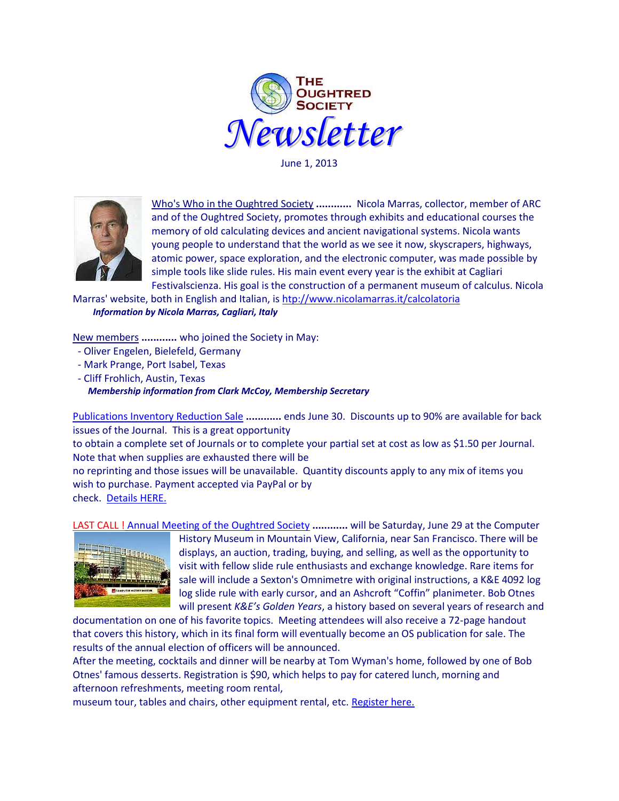

June 1, 2013



Who's Who in the Oughtred Society **............** Nicola Marras, collector, member of ARC and of the Oughtred Society, promotes through exhibits and educational courses the memory of old calculating devices and ancient navigational systems. Nicola wants young people to understand that the world as we see it now, skyscrapers, highways, atomic power, space exploration, and the electronic computer, was made possible by simple tools like slide rules. His main event every year is the exhibit at Cagliari Festivalscienza. His goal is the construction of a permanent museum of calculus. Nicola

Marras' website, both in English and Italian, is [htp://www.nicolamarras.it/calcolatoria](http://www.nicolamarras.it/calcolatoria) *Information by Nicola Marras, Cagliari, Italy*

New members **............** who joined the Society in May:

- Oliver Engelen, Bielefeld, Germany
- Mark Prange, Port Isabel, Texas
- Cliff Frohlich, Austin, Texas

*Membership information from Clark McCoy, Membership Secretary*

[Publications Inventory Reduction Sale](http://oughtred.org/flyers/2013_Publications_Inventory_Reduction_Sale.pdf) **............** ends June 30. Discounts up to 90% are available for back issues of the Journal. This is a great opportunity

to obtain a complete set of Journals or to complete your partial set at cost as low as \$1.50 per Journal. Note that when supplies are exhausted there will be

no reprinting and those issues will be unavailable. Quantity discounts apply to any mix of items you wish to purchase. Payment accepted via PayPal or by check. [Details HERE.](http://oughtred.org/flyers/2013_Publications_Inventory_Reduction_Sale.pdf)

LAST CALL ! [Annual Meeting of the Oughtred Society](http://www.oughtred.org/SummerMeeting.shtml) **............** will be Saturday, June 29 at the Computer



History Museum in Mountain View, California, near San Francisco. There will be displays, an auction, trading, buying, and selling, as well as the opportunity to visit with fellow slide rule enthusiasts and exchange knowledge. Rare items for sale will include a Sexton's Omnimetre with original instructions, a K&E 4092 log log slide rule with early cursor, and an Ashcroft "Coffin" planimeter. Bob Otnes will present *K&E's Golden Years*, a history based on several years of research and

documentation on one of his favorite topics. Meeting attendees will also receive a 72-page handout that covers this history, which in its final form will eventually become an OS publication for sale. The results of the annual election of officers will be announced.

After the meeting, cocktails and dinner will be nearby at Tom Wyman's home, followed by one of Bob Otnes' famous desserts. Registration is \$90, which helps to pay for catered lunch, morning and afternoon refreshments, meeting room rental,

museum tour, tables and chairs, other equipment rental, etc[. Register here.](http://www.oughtred.org/SummerMeeting.shtml)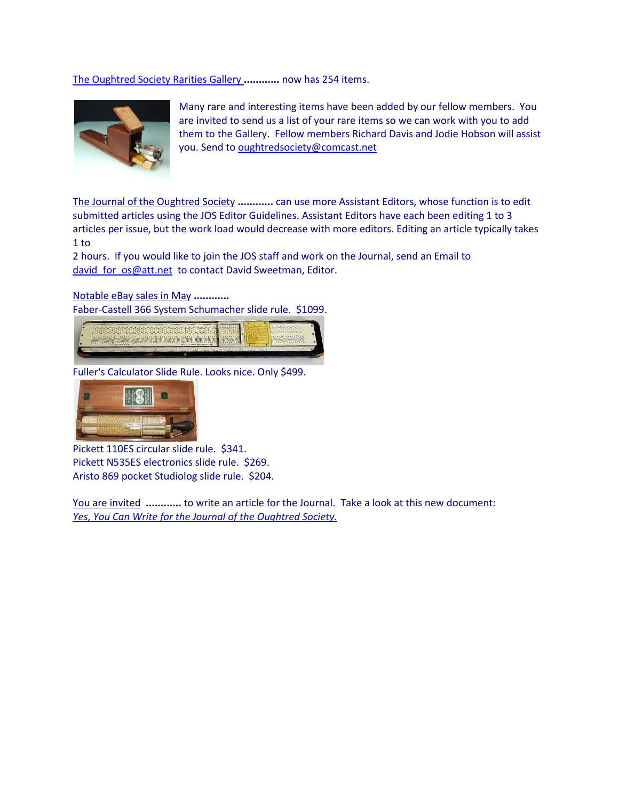[The Oughtred Society Rarities Gallery](http://osgalleries.org/os/completegallery.cgi) **............** now has 254 items.



Many rare and interesting items have been added by our fellow members. You are invited to send us a list of your rare items so we can work with you to add them to the Gallery. Fellow members Richard Davis and Jodie Hobson will assist you. Send t[o oughtredsociety@comcast.net](oughtredsociety@comcast.net)

The Journal of the Oughtred Society **............** can use more Assistant Editors, whose function is to edit submitted articles using the JOS Editor Guidelines. Assistant Editors have each been editing 1 to 3 articles per issue, but the work load would decrease with more editors. Editing an article typically takes 1 to

2 hours. If you would like to join the JOS staff and work on the Journal, send an Email to david for os@att.net to contact David Sweetman, Editor.

Notable eBay sales in May **............**

Faber-Castell 366 System Schumacher slide rule. \$1099.



Fuller's Calculator Slide Rule. Looks nice. Only \$499.



Pickett 110ES circular slide rule. \$341. Pickett N535ES electronics slide rule. \$269. Aristo 869 pocket Studiolog slide rule. \$204.

You are invited **............** to write an article for the Journal. Take a look at this new document: *Yes, [You Can Write for the Journal of the Oughtred Society.](http://www.oughtred.org/jos/Writing_For_JOS_revA.pdf)*